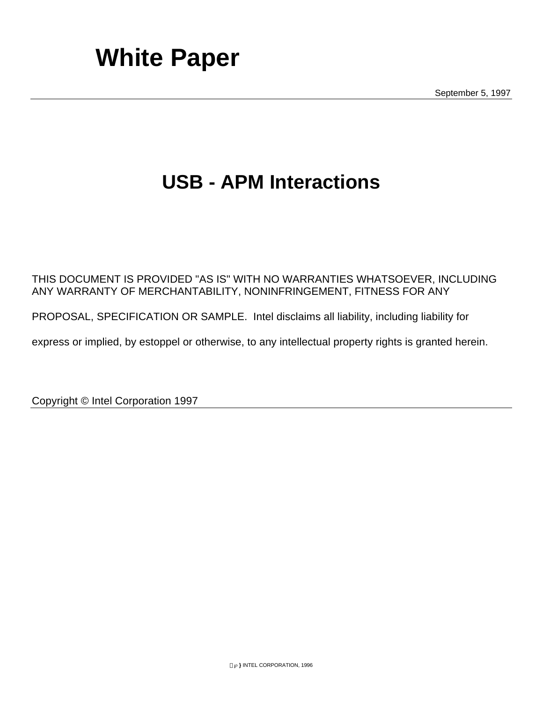September 5, 1997

# **USB - APM Interactions**

THIS DOCUMENT IS PROVIDED "AS IS" WITH NO WARRANTIES WHATSOEVER, INCLUDING ANY WARRANTY OF MERCHANTABILITY, NONINFRINGEMENT, FITNESS FOR ANY

PROPOSAL, SPECIFICATION OR SAMPLE. Intel disclaims all liability, including liability for

express or implied, by estoppel or otherwise, to any intellectual property rights is granted herein.

Copyright © Intel Corporation 1997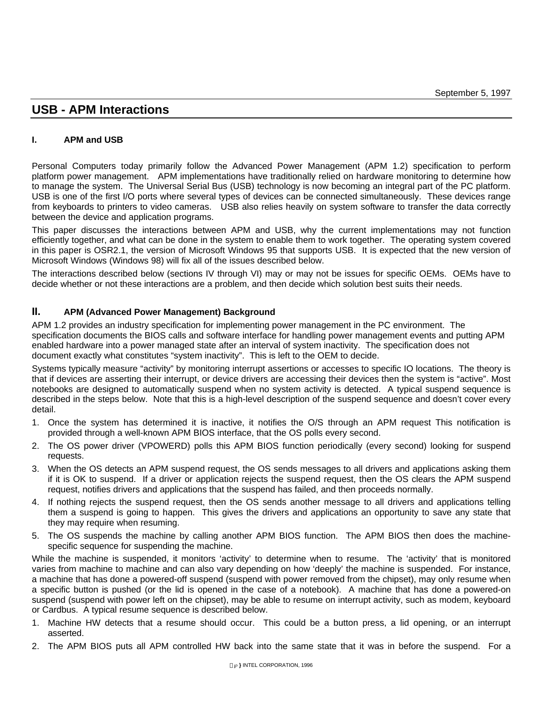## **USB - APM Interactions**

#### **I. APM and USB**

Personal Computers today primarily follow the Advanced Power Management (APM 1.2) specification to perform platform power management. APM implementations have traditionally relied on hardware monitoring to determine how to manage the system. The Universal Serial Bus (USB) technology is now becoming an integral part of the PC platform. USB is one of the first I/O ports where several types of devices can be connected simultaneously. These devices range from keyboards to printers to video cameras. USB also relies heavily on system software to transfer the data correctly between the device and application programs.

This paper discusses the interactions between APM and USB, why the current implementations may not function efficiently together, and what can be done in the system to enable them to work together. The operating system covered in this paper is OSR2.1, the version of Microsoft Windows 95 that supports USB. It is expected that the new version of Microsoft Windows (Windows 98) will fix all of the issues described below.

The interactions described below (sections IV through VI) may or may not be issues for specific OEMs. OEMs have to decide whether or not these interactions are a problem, and then decide which solution best suits their needs.

#### **II. APM (Advanced Power Management) Background**

APM 1.2 provides an industry specification for implementing power management in the PC environment. The specification documents the BIOS calls and software interface for handling power management events and putting APM enabled hardware into a power managed state after an interval of system inactivity. The specification does not document exactly what constitutes "system inactivity". This is left to the OEM to decide.

Systems typically measure "activity" by monitoring interrupt assertions or accesses to specific IO locations. The theory is that if devices are asserting their interrupt, or device drivers are accessing their devices then the system is "active". Most notebooks are designed to automatically suspend when no system activity is detected. A typical suspend sequence is described in the steps below. Note that this is a high-level description of the suspend sequence and doesn't cover every detail.

- 1. Once the system has determined it is inactive, it notifies the O/S through an APM request This notification is provided through a well-known APM BIOS interface, that the OS polls every second.
- 2. The OS power driver (VPOWERD) polls this APM BIOS function periodically (every second) looking for suspend requests.
- 3. When the OS detects an APM suspend request, the OS sends messages to all drivers and applications asking them if it is OK to suspend. If a driver or application rejects the suspend request, then the OS clears the APM suspend request, notifies drivers and applications that the suspend has failed, and then proceeds normally.
- 4. If nothing rejects the suspend request, then the OS sends another message to all drivers and applications telling them a suspend is going to happen. This gives the drivers and applications an opportunity to save any state that they may require when resuming.
- 5. The OS suspends the machine by calling another APM BIOS function. The APM BIOS then does the machinespecific sequence for suspending the machine.

While the machine is suspended, it monitors 'activity' to determine when to resume. The 'activity' that is monitored varies from machine to machine and can also vary depending on how 'deeply' the machine is suspended. For instance, a machine that has done a powered-off suspend (suspend with power removed from the chipset), may only resume when a specific button is pushed (or the lid is opened in the case of a notebook). A machine that has done a powered-on suspend (suspend with power left on the chipset), may be able to resume on interrupt activity, such as modem, keyboard or Cardbus. A typical resume sequence is described below.

- 1. Machine HW detects that a resume should occur. This could be a button press, a lid opening, or an interrupt asserted.
- 2. The APM BIOS puts all APM controlled HW back into the same state that it was in before the suspend. For a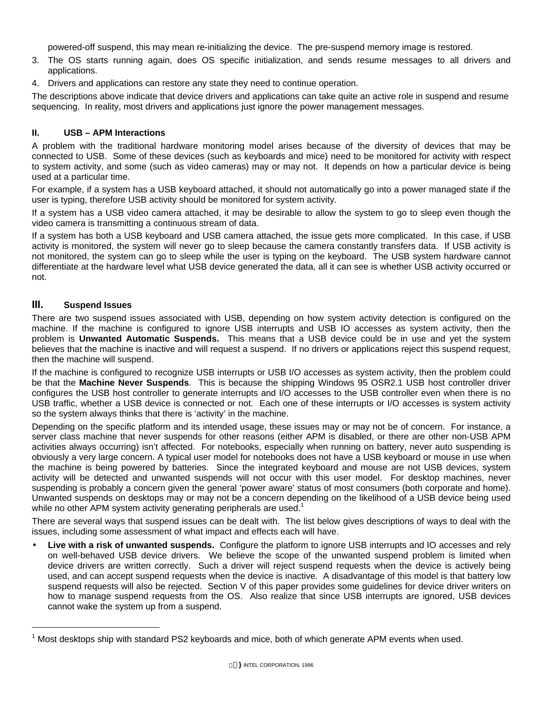powered-off suspend, this may mean re-initializing the device. The pre-suspend memory image is restored.

- 3. The OS starts running again, does OS specific initialization, and sends resume messages to all drivers and applications.
- 4. Drivers and applications can restore any state they need to continue operation.

The descriptions above indicate that device drivers and applications can take quite an active role in suspend and resume sequencing. In reality, most drivers and applications just ignore the power management messages.

#### **II. USB – APM Interactions**

A problem with the traditional hardware monitoring model arises because of the diversity of devices that may be connected to USB. Some of these devices (such as keyboards and mice) need to be monitored for activity with respect to system activity, and some (such as video cameras) may or may not. It depends on how a particular device is being used at a particular time.

For example, if a system has a USB keyboard attached, it should not automatically go into a power managed state if the user is typing, therefore USB activity should be monitored for system activity.

If a system has a USB video camera attached, it may be desirable to allow the system to go to sleep even though the video camera is transmitting a continuous stream of data.

If a system has both a USB keyboard and USB camera attached, the issue gets more complicated. In this case, if USB activity is monitored, the system will never go to sleep because the camera constantly transfers data. If USB activity is not monitored, the system can go to sleep while the user is typing on the keyboard. The USB system hardware cannot differentiate at the hardware level what USB device generated the data, all it can see is whether USB activity occurred or not.

#### **III. Suspend Issues**

l

There are two suspend issues associated with USB, depending on how system activity detection is configured on the machine. If the machine is configured to ignore USB interrupts and USB IO accesses as system activity, then the problem is **Unwanted Automatic Suspends.** This means that a USB device could be in use and yet the system believes that the machine is inactive and will request a suspend. If no drivers or applications reject this suspend request, then the machine will suspend.

If the machine is configured to recognize USB interrupts or USB I/O accesses as system activity, then the problem could be that the **Machine Never Suspends**. This is because the shipping Windows 95 OSR2.1 USB host controller driver configures the USB host controller to generate interrupts and I/O accesses to the USB controller even when there is no USB traffic, whether a USB device is connected or not. Each one of these interrupts or I/O accesses is system activity so the system always thinks that there is 'activity' in the machine.

Depending on the specific platform and its intended usage, these issues may or may not be of concern. For instance, a server class machine that never suspends for other reasons (either APM is disabled, or there are other non-USB APM activities always occurring) isn't affected. For notebooks, especially when running on battery, never auto suspending is obviously a very large concern. A typical user model for notebooks does not have a USB keyboard or mouse in use when the machine is being powered by batteries. Since the integrated keyboard and mouse are not USB devices, system activity will be detected and unwanted suspends will not occur with this user model. For desktop machines, never suspending is probably a concern given the general 'power aware' status of most consumers (both corporate and home). Unwanted suspends on desktops may or may not be a concern depending on the likelihood of a USB device being used while no other APM system activity generating peripherals are used. $1$ 

There are several ways that suspend issues can be dealt with. The list below gives descriptions of ways to deal with the issues, including some assessment of what impact and effects each will have.

• **Live with a risk of unwanted suspends.** Configure the platform to ignore USB interrupts and IO accesses and rely on well-behaved USB device drivers. We believe the scope of the unwanted suspend problem is limited when device drivers are written correctly. Such a driver will reject suspend requests when the device is actively being used, and can accept suspend requests when the device is inactive. A disadvantage of this model is that battery low suspend requests will also be rejected. Section V of this paper provides some guidelines for device driver writers on how to manage suspend requests from the OS. Also realize that since USB interrupts are ignored, USB devices cannot wake the system up from a suspend.

 $1$  Most desktops ship with standard PS2 keyboards and mice, both of which generate APM events when used.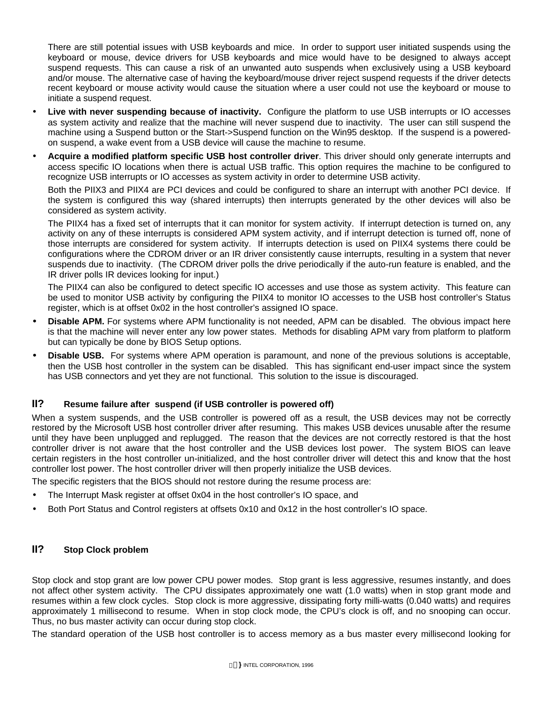There are still potential issues with USB keyboards and mice. In order to support user initiated suspends using the keyboard or mouse, device drivers for USB keyboards and mice would have to be designed to always accept suspend requests. This can cause a risk of an unwanted auto suspends when exclusively using a USB keyboard and/or mouse. The alternative case of having the keyboard/mouse driver reject suspend requests if the driver detects recent keyboard or mouse activity would cause the situation where a user could not use the keyboard or mouse to initiate a suspend request.

- **Live with never suspending because of inactivity.** Configure the platform to use USB interrupts or IO accesses as system activity and realize that the machine will never suspend due to inactivity. The user can still suspend the machine using a Suspend button or the Start->Suspend function on the Win95 desktop. If the suspend is a poweredon suspend, a wake event from a USB device will cause the machine to resume.
- **Acquire a modified platform specific USB host controller driver**. This driver should only generate interrupts and access specific IO locations when there is actual USB traffic. This option requires the machine to be configured to recognize USB interrupts or IO accesses as system activity in order to determine USB activity.

Both the PIIX3 and PIIX4 are PCI devices and could be configured to share an interrupt with another PCI device. If the system is configured this way (shared interrupts) then interrupts generated by the other devices will also be considered as system activity.

The PIIX4 has a fixed set of interrupts that it can monitor for system activity. If interrupt detection is turned on, any activity on any of these interrupts is considered APM system activity, and if interrupt detection is turned off, none of those interrupts are considered for system activity. If interrupts detection is used on PIIX4 systems there could be configurations where the CDROM driver or an IR driver consistently cause interrupts, resulting in a system that never suspends due to inactivity. (The CDROM driver polls the drive periodically if the auto-run feature is enabled, and the IR driver polls IR devices looking for input.)

The PIIX4 can also be configured to detect specific IO accesses and use those as system activity. This feature can be used to monitor USB activity by configuring the PIIX4 to monitor IO accesses to the USB host controller's Status register, which is at offset 0x02 in the host controller's assigned IO space.

- **Disable APM.** For systems where APM functionality is not needed, APM can be disabled. The obvious impact here is that the machine will never enter any low power states. Methods for disabling APM vary from platform to platform but can typically be done by BIOS Setup options.
- **Disable USB.** For systems where APM operation is paramount, and none of the previous solutions is acceptable, then the USB host controller in the system can be disabled. This has significant end-user impact since the system has USB connectors and yet they are not functional. This solution to the issue is discouraged.

#### **II? Resume failure after suspend (if USB controller is powered off)**

When a system suspends, and the USB controller is powered off as a result, the USB devices may not be correctly restored by the Microsoft USB host controller driver after resuming. This makes USB devices unusable after the resume until they have been unplugged and replugged. The reason that the devices are not correctly restored is that the host controller driver is not aware that the host controller and the USB devices lost power. The system BIOS can leave certain registers in the host controller un-initialized, and the host controller driver will detect this and know that the host controller lost power. The host controller driver will then properly initialize the USB devices.

The specific registers that the BIOS should not restore during the resume process are:

- The Interrupt Mask register at offset 0x04 in the host controller's IO space, and
- Both Port Status and Control registers at offsets 0x10 and 0x12 in the host controller's IO space.

### **II? Stop Clock problem**

Stop clock and stop grant are low power CPU power modes. Stop grant is less aggressive, resumes instantly, and does not affect other system activity. The CPU dissipates approximately one watt (1.0 watts) when in stop grant mode and resumes within a few clock cycles. Stop clock is more aggressive, dissipating forty milli-watts (0.040 watts) and requires approximately 1 millisecond to resume. When in stop clock mode, the CPU's clock is off, and no snooping can occur. Thus, no bus master activity can occur during stop clock.

The standard operation of the USB host controller is to access memory as a bus master every millisecond looking for